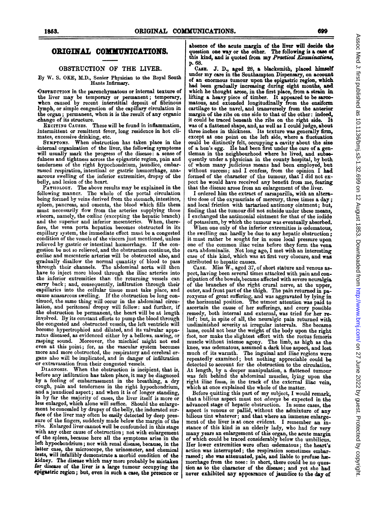# ORIGINAL COMMUNICATIONS.

## OBSTRUCTION OF THE LIVER.

By W. S. OKE, M.D., Senior Physician to the Royal South Hants Infirmary.

OBSTRUCTION in the parenchymatous or intemal texture of the liver may be temporary or permanent; temporary, when caused by recent interstitial deposit of fibrinous lymph, or simple congestion of the capillary circulation in the organ; permanent, when it is the result of any organic

change of its structure.<br>Excitive Causes. These will be found in inflammation, intermittent or remittent fever, long residence in hot cli-

mates, excessive drinking, etc. SYMPTOMS. When obstruction has taken place in the internal organization of the liver, the following symptoms will usually mark the progress of the disease: a sense of fulness and tightness across the epigastric region, pain and tenderness of the right hypochondrium, jaundice, embarrassed respiration, intestinal or gastric hæmorrhage, anasarcous swelling of the inferior extremities, dropsy of the -belly, and lesion of the heart.

PATHOLOGY. The above results may be explained in the following manner. The whole of the portal circulation being formed by veins derived from the stomach, intestines, spleen, pancreas, and omenta, the blood which fills them must necessarily flow from the arteries supplying those <sup>x</sup>'iscera, namely, the coeliac (excepting the hepatic branch) and the superior and inferior mesenterics. When, there-fore, the vena porta hepatica becomes obstructed in its capillary system, the immediate effect must be a congested condition of the vessels of the viscera just mentioned, unless relieved by gastric or intestinal haemorrhage. If the congestion be not so relieved, and the obstruction continue, the coeliac and mesenteric arteries will be obstructed also, and gradually disallow the normal quantity of blood to pass through their channels. The abdominal aorta will then have to inject more blood through the iliac arteries into the inferior extremities than the returning vessels can carry back; and, consequently, infiltration through their capillaries into the cellular tissue must take place, and cause anasarcous swelling. If the obstruction be long continued, the same thing will occur in the abdominal circulation, and peritoneal dropsy will follow: and further, if -the obstruction be permanent, the heart will be at length involved. By its constant efforts to pump the blood through the congested and obstructed vessels, the left ventricle will become hypertrophied and dilated, and its valvular apparatus diseased, as evidenced either by a bellows. sawing, or rasping sound. Moreover, the mischief might not end even at this point; for, as the vascular system becomes more and more obstructed, the respiratory and cerebral organs also will be implicated, and in danger of infiltration -or extravasation from their congested vessels.

DIAGNOSIS. When the obstruction is incipient, that is, before any infiltration has taken place, it may be diagnosed by a feeling of embarrassment in the breathing, a dry cough, pain and tenderness in the right hypochondrium, and <sup>a</sup> jaundiced aspect; and when it is of longer standing, in by far the majority of cases, the liver itself is more or less enlarged, which alone will suffice. Should the enlargement be concealed by dropsy of the belly, the indurated surface of the liver may often be easily detected by deep pressure of the fingers, suddenly made below the margin of the ribs. Enlarged liver cannot well be confounded in this stage with any other cause of obstruction; not with enlargement of the spleen, because here all the symptoms arise in the left hypochondrium; nor with renal disease, because, in the latter case, the microscope, the urinometer, and chemical tests, will infallibly demonstrate a morbid condition of the kidney. The disease which may more probably be mistaken for disease of the liver is a large tumour occupying the epigatric region; but, even in such a case, the presence or

absence of the acute margin of the liver will decide the question one way or the other. The following is a case of this kind, and is quoted from my *Practical Examinations*, p. 68.

CAsE. J. D., aged 28, a blacksmith, placed himself under my care in the Southampton Dispensary, on account of an enormous tumour upon the epigastric region, which had been gradually increasing during eight months, and which he thought arose, in the first place, from a strain in lifting a heavy piece of timber. It appeared to be sarco-matous, and extended longitudinally from the ensiform cartilage to the navel, and transversely from the anterior margin of the ribs on one side to that of the other: indeed, it could be traced beneath the ribs on the right side. It was of a flattened shape, and, as well as I could judge, about three inches in thickness. Its texture was generally firn, except at one point on the left side, where a fluctuation could be distinctly felt, occupying a cavity about the size of a hen's egg. He had been first under the care of a gentleman in the neighbourhood where he lived, and subsequently under a physician in the county hospital, by both of whom many judicious means had been employed, but without success; and I confess, from the opinion I had formed of the character of the tumour, that I did not expect he would have received any benefit from me, fearing that the disease arose from an enlargement of the liver.

<sup>I</sup> ordered him the extract of sarsaparilla, with an alterative dose of the oxymuriate of mercury, three times a day; and local friction with tartarised antimony ointment; but, finding that the tumour did not subside under these means, I exchanged the antimonial ointment for that of the iodide

of potassium, by which the tumour was eventually absorbed. When one only of the inferior extremities is oedematous, the swelling can hardly be due to any hepatic obstruction: it must rather be sought for in some local pressure upon one of the common iliac veins before they form the vena, cava abdominalis. Not long ago, <sup>I</sup> met with an interesting case of this kind, which was at first very obscure, and was attributed to hepatic causes.

CASE. Miss  $\hat{W}$ , aged 37, of short stature and venous aspect, having been several times attacked with pain and constipation of the bowels,became affected with severe neuralgia of the branches of the right crural nerve, at the upper, outer, and front part of the thigh. The pain returned in paroxysms of great suffering, and was aggravated by lying in the horizontal position. The utmost attention was paid to ascertain the cause of her sufferings, and every possible remedy, both internal and external, was tried for her relief; but, in spite of all, the neuralgic pain returned with undiminished severity at irregular intervals. She became lame, could not bear the weight of the body upon the right foot, nor make the slightest effort with the rectus femoris muscle without intense agony. The limb, as high as the knee, was wedematous, assumed a dark blue aspect, and lost much of its warmth. The inguinal and iliac regions were repeatedly examined; but nothing appreciable could be detected to account for the obstruction to the circulation. At length, by a deeper manipulation, a flattened tumour was felt behind the abdominal muscles, lying upon the right iliac fossa, in the track of the external iliac vein, which at once explained the whole of the matter.

Before quitting this part of my subject, <sup>I</sup> would remark, that a bilious aspect must not always be expected in the advanced stage of hepatic obstruction. In some cases, the aspect is venous or pallid, without the admixture of any bilious tint whatever; and that where an immense enlargement of the liver is at once evident. <sup>I</sup> remember an instance of this kind in an elderly lady, who had for very many years an enlargement of this organ, the acute margin of which could be traced considerably below the umbilicus. Her lower extremities were often cedematous; the heart's action was interrupted; the respiration sometimes embarrassed; she was attenuated, pale, and liable to profuse hæmorrhage from the nose: in short, there could be no question as to the character of the disease; and yet she had never exhibited any appearance of jaundice to the day of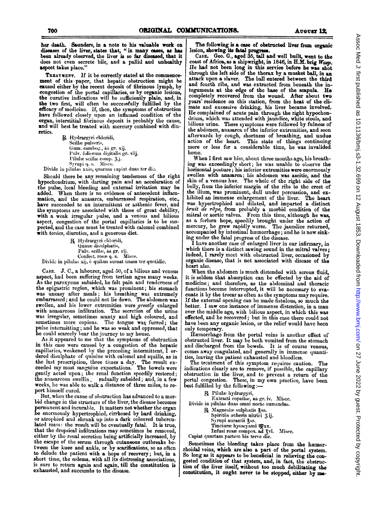her death. Saunders, in a note to his valuable work on diseases of the liver, states that, "in many cases, as has been already observed, the liver is so far diseased, that it does not even secrete bile, and a pallid and unhealthy aspect takes place.'

TREATMENT. If it be correctly stated at the commencement of this paper, that hepatic obstruction might be caused either by the recent deposit of fibrinous lymph, by congestion of the portal capillaries, or by organic lesions, the curative indications will be sufficiently plain, and, in the two first, will often be successfully fulfilled by the efficacy of medicine. If, then, the symptoms of obstruction have followed closely upon an inflamed condition of the organ, interstitial fibrinous deposit is probably the cause, and will best be treated with mercury combined with diuretics.

> R. Hydrargyri chloridi, Scillae pulveris, Gum. cambog., aa gr. xij. Pulv. foliorum digitalis gr. viij. Pilulæ scillæ comp. 3j. Syrupi q. s. Misce.

Divide in pilulas xxiv, quarum capiat duas ter die.

Should there be any remaining tenderness of the right hypochondrium, with darting pain and an acceleration of the pulse, local bleeding and external irritation may be added. When there is no evidence of antecedent inflammation, and the anasarca, embarrassed respiration, etc., have succeeded to an intermittent or asthenic fever, and the symptoms are associated with those of great debility, with a weak irregular pulse, and a venous and bilious aspect, congestion of the portal capillaries is to be suspected, and the case must be treated with calomel combined with tonics, diurctics, and a generous diet.

R Hydrargyri chloridi, Quinæ disulphatis, Pulv. scillæ, åå gr. xij Confect. rosæ q. s. Misce.

Divide in pilulas xij, è quibus sumat unam ter quotidie.

CASE. J. C., a labourer, aged 50, of a bilious and venous aspect, had been suffering from tertian ague many weeks. As the paroxysms subsided, he felt pain and tenderness of the epigastric region, which was prominent; his stomach was uneasy after meals; his breathing was extremely<br>embarrassed; and he could not lie down. The abdomen was swollen, and his lower extremities were greatly enlarged with anasarcous infiltration. The secretion of the urine was irregular, sometimes scanty and high coloured, and sometimes more copious. The tongue was furred; the pulse intermitting; and he was so weak and oppressed, that he could scarcely bear the journey to my house.

As it appeared to me that the symptoms of obstruction in this case were caused by a congestion of the hepatic capillaries, weakened by the preceding intermittent, I ordered disulphate of quinine with calomel and squills, as in the last prescription, three times a day. The result ex-<br>ceeded my most sanguine expectations. The bowels were gently acted upon; the renal function speedily restored; the anasarcous swelling radually subsided; and, in a few<br>weeks, he was able to walk a distance of three miles, to report himself cured.

But, when the cause of obstruction has advanced to a morbid change in the structure of the liver, the disease becomes permanent and incurable. It matters not whether the organ<br>be enormously hypertrophied, cirrhosed by hard drinking, or atrophied and shrunk up into a dark coloured tuberculated mass: the result will be eventually fatal. It is true, that the dropsical infiltrations may sometimes be removed, either by the renal secretion being artificially increased, by the escape of the serum through cutaneous outbreaks between the knee and ankle, or by scarifications, so as often to delude the patient with a hope of recovery; but, in a short time, the codema, with all its distressing associations, is sure to return again and again, till the constitution is exhausted, and succumbs to the disease.

The following is a case of obstructed liver from organic

lesion, showing its fatal progress.<br>CASE. Geo. G., aged 35, tall and well built, went to the coast of Africa, as a shipwright, in 1846, in H.M. brig Wasp. He had not been long in this service before he was shot through the left side of the thorax by a musket ball, in an attack upon a slaver. The ball entered between the third and fourth ribs, and was extracted from beneath the integuments at the edge of the base of the scapula. He completely recovered from the wound. After about two years' residence on this station, from the heat of the climate and excessive drinking, his liver became involved. He complained of acute pain through the right hypochondrium, which was attended with jaundice, white stools, and bilious urine. These symptoms were followed by fulness of the abdomen, anasarca of the inferior extremities, and soon afterwards by cough, shortness of breathing, and undue action of the heart. This state of things continuing more or less for a considerable time, he was invalided home.

When I first saw him, about three months ago, his breathing was exceedingly short; he was unable to observe the horizontal posture; his inferior extremities were enormously swollen with ansarca; his abdomen was ascitic, and the skin of a venous hue. The whole of the right side of the belly, from the inferior margin of the ribs to the crest of the illium, was prominent, dull under percussion, and exhibited an immense enlargement of the liver. The heart was hypertrophied and dilated, and imparted a distinct bruit de râpe, from probably a morbid condition of the mitral or aortic valves. From this time, although he was, as a forlorn hope, speedily brought under the action of mercury, he grew rapidly worse. The jaundice returned, accompanied by intestinal hæmorrhage; and he is now sinking under the fatal progress of the disease.

I have another case of enlarged liver in our infirmary, in which there is a distinct sawing sound in the mitral valves; indeed, I rarely meet with obstructed liver, occasioned by organic disease, that is not associated with disease of the heart also.

When the abdomen is much distended with serous fluid, it is seldom that absorption can be effected by the aid of medicine; and therefore, as the abdominal and thoracic functions become interrupted, it will be necessary to evacuate it by the trocar as often as the symptoms may require. If the external opening can be made fistulous, so much the better. I saw one instance of immense distention, in a man over the middle age, with bilious aspect, in which this was effected, and he recovered; but in this case there could not have been any organic lesion, or the relief would have been only temporary.

Hæmorrhage from the portal veins is another effect of obstructed liver. It may be both vomited from the stomach and discharged from the bowels. It is of course venous, comes away coagulated, and generally in immense quantities, leaving the patient exhausted and bloodless.

The treatment of this symptom requires caution. The indications clearly are to remove, if possible, the capillary obstruction in the liver, and to prevent a return of the portal congestion. These, in my own practice, have been best fulfilled by the following :-

R Pilulæ hydrargyri,

Extracti copaible, aa gr. iv. Misce. Divide in pilulas duas omni nocte sumendas. R Magnesiæ sulphatis 3ss.

Spiritus ætheris nitrici 3ij. Syrupi aurantii 3ss. Tincturæ hyoseyami mxx. Infusi rose compos. ad zvi. Misce.

Capiat quartam partem bis terve die.

Sometimes the bleeding takes place from the hæmorrhoidal veins, which are also a part of the portal system. So long as it appears to be beneficial in relieving the congested condition of that system, and, in fact, the obstruction of the liver itself, without too much debilitating the constitution, it ought never to be stopped, either by me-